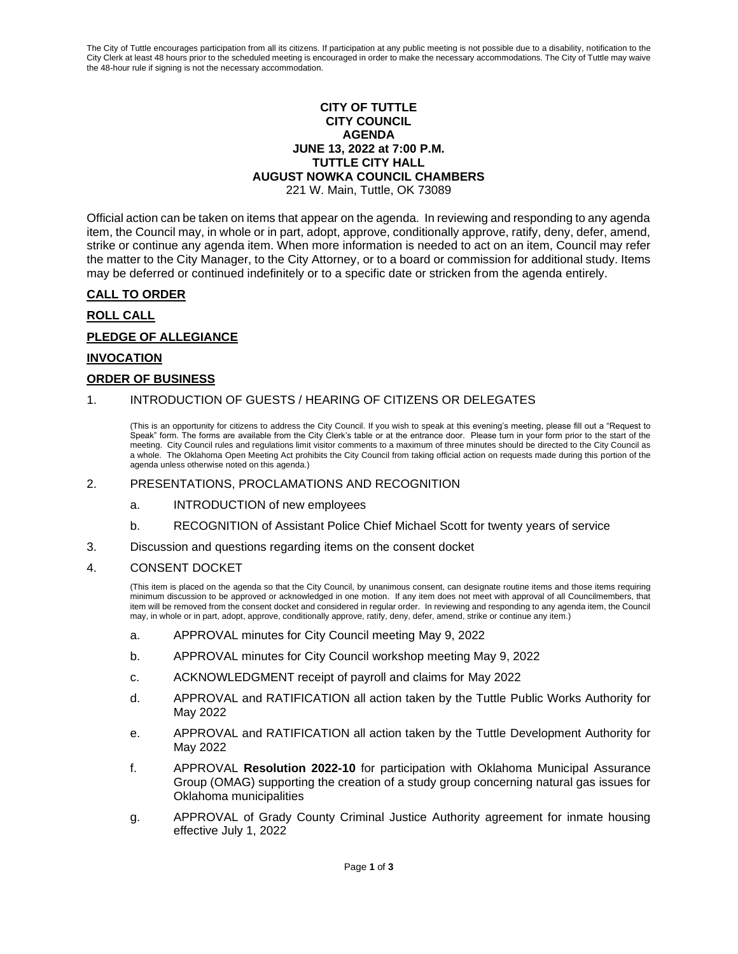The City of Tuttle encourages participation from all its citizens. If participation at any public meeting is not possible due to a disability, notification to the City Clerk at least 48 hours prior to the scheduled meeting is encouraged in order to make the necessary accommodations. The City of Tuttle may waive the 48-hour rule if signing is not the necessary accommodation.

# **CITY OF TUTTLE CITY COUNCIL AGENDA JUNE 13, 2022 at 7:00 P.M. TUTTLE CITY HALL AUGUST NOWKA COUNCIL CHAMBERS**

221 W. Main, Tuttle, OK 73089

Official action can be taken on items that appear on the agenda. In reviewing and responding to any agenda item, the Council may, in whole or in part, adopt, approve, conditionally approve, ratify, deny, defer, amend, strike or continue any agenda item. When more information is needed to act on an item, Council may refer the matter to the City Manager, to the City Attorney, or to a board or commission for additional study. Items may be deferred or continued indefinitely or to a specific date or stricken from the agenda entirely.

# **CALL TO ORDER**

## **ROLL CALL**

# **PLEDGE OF ALLEGIANCE**

## **INVOCATION**

## **ORDER OF BUSINESS**

## 1. INTRODUCTION OF GUESTS / HEARING OF CITIZENS OR DELEGATES

(This is an opportunity for citizens to address the City Council. If you wish to speak at this evening's meeting, please fill out a "Request to Speak" form. The forms are available from the City Clerk's table or at the entrance door. Please turn in your form prior to the start of the meeting. City Council rules and regulations limit visitor comments to a maximum of three minutes should be directed to the City Council as a whole. The Oklahoma Open Meeting Act prohibits the City Council from taking official action on requests made during this portion of the agenda unless otherwise noted on this agenda.)

### 2. PRESENTATIONS, PROCLAMATIONS AND RECOGNITION

- a. INTRODUCTION of new employees
- b. RECOGNITION of Assistant Police Chief Michael Scott for twenty years of service
- 3. Discussion and questions regarding items on the consent docket

#### 4. CONSENT DOCKET

(This item is placed on the agenda so that the City Council, by unanimous consent, can designate routine items and those items requiring minimum discussion to be approved or acknowledged in one motion. If any item does not meet with approval of all Councilmembers, that item will be removed from the consent docket and considered in regular order. In reviewing and responding to any agenda item, the Council may, in whole or in part, adopt, approve, conditionally approve, ratify, deny, defer, amend, strike or continue any item.)

- a. APPROVAL minutes for City Council meeting May 9, 2022
- b. APPROVAL minutes for City Council workshop meeting May 9, 2022
- c. ACKNOWLEDGMENT receipt of payroll and claims for May 2022
- d. APPROVAL and RATIFICATION all action taken by the Tuttle Public Works Authority for May 2022
- e. APPROVAL and RATIFICATION all action taken by the Tuttle Development Authority for May 2022
- f. APPROVAL **Resolution 2022-10** for participation with Oklahoma Municipal Assurance Group (OMAG) supporting the creation of a study group concerning natural gas issues for Oklahoma municipalities
- g. APPROVAL of Grady County Criminal Justice Authority agreement for inmate housing effective July 1, 2022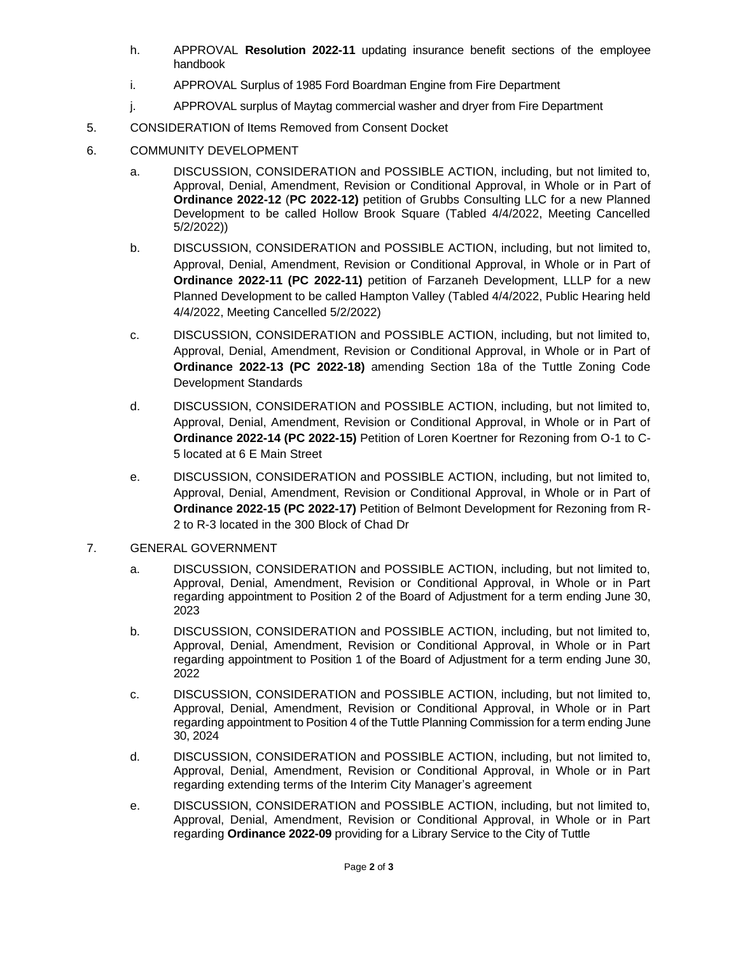- h. APPROVAL **Resolution 2022-11** updating insurance benefit sections of the employee handbook
- i. APPROVAL Surplus of 1985 Ford Boardman Engine from Fire Department
- j. APPROVAL surplus of Maytag commercial washer and dryer from Fire Department
- 5. CONSIDERATION of Items Removed from Consent Docket
- 6. COMMUNITY DEVELOPMENT
	- a. DISCUSSION, CONSIDERATION and POSSIBLE ACTION, including, but not limited to, Approval, Denial, Amendment, Revision or Conditional Approval, in Whole or in Part of **Ordinance 2022-12** (**PC 2022-12)** petition of Grubbs Consulting LLC for a new Planned Development to be called Hollow Brook Square (Tabled 4/4/2022, Meeting Cancelled 5/2/2022))
	- b. DISCUSSION, CONSIDERATION and POSSIBLE ACTION, including, but not limited to, Approval, Denial, Amendment, Revision or Conditional Approval, in Whole or in Part of **Ordinance 2022-11 (PC 2022-11)** petition of Farzaneh Development, LLLP for a new Planned Development to be called Hampton Valley (Tabled 4/4/2022, Public Hearing held 4/4/2022, Meeting Cancelled 5/2/2022)
	- c. DISCUSSION, CONSIDERATION and POSSIBLE ACTION, including, but not limited to, Approval, Denial, Amendment, Revision or Conditional Approval, in Whole or in Part of **Ordinance 2022-13 (PC 2022-18)** amending Section 18a of the Tuttle Zoning Code Development Standards
	- d. DISCUSSION, CONSIDERATION and POSSIBLE ACTION, including, but not limited to, Approval, Denial, Amendment, Revision or Conditional Approval, in Whole or in Part of **Ordinance 2022-14 (PC 2022-15)** Petition of Loren Koertner for Rezoning from O-1 to C-5 located at 6 E Main Street
	- e. DISCUSSION, CONSIDERATION and POSSIBLE ACTION, including, but not limited to, Approval, Denial, Amendment, Revision or Conditional Approval, in Whole or in Part of **Ordinance 2022-15 (PC 2022-17)** Petition of Belmont Development for Rezoning from R-2 to R-3 located in the 300 Block of Chad Dr
- 7. GENERAL GOVERNMENT
	- a. DISCUSSION, CONSIDERATION and POSSIBLE ACTION, including, but not limited to, Approval, Denial, Amendment, Revision or Conditional Approval, in Whole or in Part regarding appointment to Position 2 of the Board of Adjustment for a term ending June 30, 2023
	- b. DISCUSSION, CONSIDERATION and POSSIBLE ACTION, including, but not limited to, Approval, Denial, Amendment, Revision or Conditional Approval, in Whole or in Part regarding appointment to Position 1 of the Board of Adjustment for a term ending June 30, 2022
	- c. DISCUSSION, CONSIDERATION and POSSIBLE ACTION, including, but not limited to, Approval, Denial, Amendment, Revision or Conditional Approval, in Whole or in Part regarding appointment to Position 4 of the Tuttle Planning Commission for a term ending June 30, 2024
	- d. DISCUSSION, CONSIDERATION and POSSIBLE ACTION, including, but not limited to, Approval, Denial, Amendment, Revision or Conditional Approval, in Whole or in Part regarding extending terms of the Interim City Manager's agreement
	- e. DISCUSSION, CONSIDERATION and POSSIBLE ACTION, including, but not limited to, Approval, Denial, Amendment, Revision or Conditional Approval, in Whole or in Part regarding **Ordinance 2022-09** providing for a Library Service to the City of Tuttle